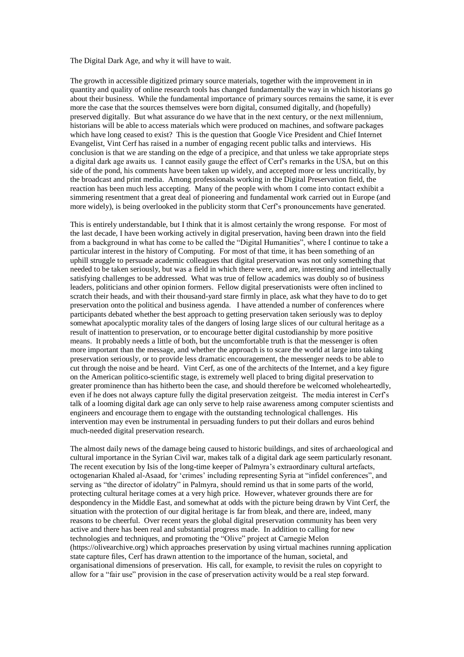The Digital Dark Age, and why it will have to wait.

The growth in accessible digitized primary source materials, together with the improvement in in quantity and quality of online research tools has changed fundamentally the way in which historians go about their business. While the fundamental importance of primary sources remains the same, it is ever more the case that the sources themselves were born digital, consumed digitally, and (hopefully) preserved digitally. But what assurance do we have that in the next century, or the next millennium, historians will be able to access materials which were produced on machines, and software packages which have long ceased to exist? This is the question that Google Vice President and Chief Internet Evangelist, Vint Cerf has raised in a number of engaging recent public talks and interviews. His conclusion is that we are standing on the edge of a precipice, and that unless we take appropriate steps a digital dark age awaits us. I cannot easily gauge the effect of Cerf's remarks in the USA, but on this side of the pond, his comments have been taken up widely, and accepted more or less uncritically, by the broadcast and print media. Among professionals working in the Digital Preservation field, the reaction has been much less accepting. Many of the people with whom I come into contact exhibit a simmering resentment that a great deal of pioneering and fundamental work carried out in Europe (and more widely), is being overlooked in the publicity storm that Cerf's pronouncements have generated.

This is entirely understandable, but I think that it is almost certainly the wrong response. For most of the last decade, I have been working actively in digital preservation, having been drawn into the field from a background in what has come to be called the "Digital Humanities", where I continue to take a particular interest in the history of Computing. For most of that time, it has been something of an uphill struggle to persuade academic colleagues that digital preservation was not only something that needed to be taken seriously, but was a field in which there were, and are, interesting and intellectually satisfying challenges to be addressed. What was true of fellow academics was doubly so of business leaders, politicians and other opinion formers. Fellow digital preservationists were often inclined to scratch their heads, and with their thousand-yard stare firmly in place, ask what they have to do to get preservation onto the political and business agenda. I have attended a number of conferences where participants debated whether the best approach to getting preservation taken seriously was to deploy somewhat apocalyptic morality tales of the dangers of losing large slices of our cultural heritage as a result of inattention to preservation, or to encourage better digital custodianship by more positive means. It probably needs a little of both, but the uncomfortable truth is that the messenger is often more important than the message, and whether the approach is to scare the world at large into taking preservation seriously, or to provide less dramatic encouragement, the messenger needs to be able to cut through the noise and be heard. Vint Cerf, as one of the architects of the Internet, and a key figure on the American politico-scientific stage, is extremely well placed to bring digital preservation to greater prominence than has hitherto been the case, and should therefore be welcomed wholeheartedly, even if he does not always capture fully the digital preservation zeitgeist. The media interest in Cerf's talk of a looming digital dark age can only serve to help raise awareness among computer scientists and engineers and encourage them to engage with the outstanding technological challenges. His intervention may even be instrumental in persuading funders to put their dollars and euros behind much-needed digital preservation research.

The almost daily news of the damage being caused to historic buildings, and sites of archaeological and cultural importance in the Syrian Civil war, makes talk of a digital dark age seem particularly resonant. The recent execution by Isis of the long-time keeper of Palmyra's extraordinary cultural artefacts, octogenarian Khaled al-Asaad, for 'crimes' including representing Syria at "infidel conferences", and serving as "the director of idolatry" in Palmyra, should remind us that in some parts of the world, protecting cultural heritage comes at a very high price. However, whatever grounds there are for despondency in the Middle East, and somewhat at odds with the picture being drawn by Vint Cerf, the situation with the protection of our digital heritage is far from bleak, and there are, indeed, many reasons to be cheerful. Over recent years the global digital preservation community has been very active and there has been real and substantial progress made. In addition to calling for new technologies and techniques, and promoting the "Olive" project at Carnegie Melon (https://olivearchive.org) which approaches preservation by using virtual machines running application state capture files, Cerf has drawn attention to the importance of the human, societal, and organisational dimensions of preservation. His call, for example, to revisit the rules on copyright to allow for a "fair use" provision in the case of preservation activity would be a real step forward.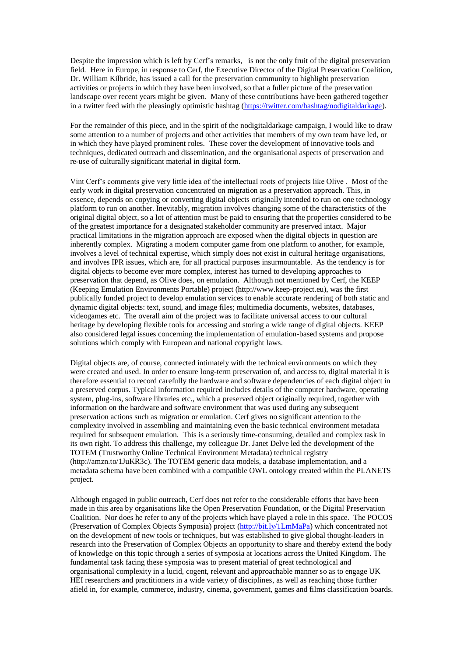Despite the impression which is left by Cerf's remarks, is not the only fruit of the digital preservation field. Here in Europe, in response to Cerf, the Executive Director of the Digital Preservation Coalition, Dr. William Kilbride, has issued a call for the preservation community to highlight preservation activities or projects in which they have been involved, so that a fuller picture of the preservation landscape over recent years might be given. Many of these contributions have been gathered together in a twitter feed with the pleasingly optimistic hashtag [\(https://twitter.com/hashtag/nodigitaldarkage\)](https://twitter.com/hashtag/nodigitaldarkage).

For the remainder of this piece, and in the spirit of the nodigitaldarkage campaign, I would like to draw some attention to a number of projects and other activities that members of my own team have led, or in which they have played prominent roles. These cover the development of innovative tools and techniques, dedicated outreach and dissemination, and the organisational aspects of preservation and re-use of culturally significant material in digital form.

Vint Cerf's comments give very little idea of the intellectual roots of projects like Olive . Most of the early work in digital preservation concentrated on migration as a preservation approach. This, in essence, depends on copying or converting digital objects originally intended to run on one technology platform to run on another. Inevitably, migration involves changing some of the characteristics of the original digital object, so a lot of attention must be paid to ensuring that the properties considered to be of the greatest importance for a designated stakeholder community are preserved intact. Major practical limitations in the migration approach are exposed when the digital objects in question are inherently complex. Migrating a modern computer game from one platform to another, for example, involves a level of technical expertise, which simply does not exist in cultural heritage organisations, and involves IPR issues, which are, for all practical purposes insurmountable. As the tendency is for digital objects to become ever more complex, interest has turned to developing approaches to preservation that depend, as Olive does, on emulation. Although not mentioned by Cerf, the KEEP (Keeping Emulation Environments Portable) project (http://www.keep-project.eu), was the first publically funded project to develop emulation services to enable accurate rendering of both static and dynamic digital objects: text, sound, and image files; multimedia documents, websites, databases, videogames etc. The overall aim of the project was to facilitate universal access to our cultural heritage by developing flexible tools for accessing and storing a wide range of digital objects. KEEP also considered legal issues concerning the implementation of emulation-based systems and propose solutions which comply with European and national copyright laws.

Digital objects are, of course, connected intimately with the technical environments on which they were created and used. In order to ensure long-term preservation of, and access to, digital material it is therefore essential to record carefully the hardware and software dependencies of each digital object in a preserved corpus. Typical information required includes details of the computer hardware, operating system, plug-ins, software libraries etc., which a preserved object originally required, together with information on the hardware and software environment that was used during any subsequent preservation actions such as migration or emulation. Cerf gives no significant attention to the complexity involved in assembling and maintaining even the basic technical environment metadata required for subsequent emulation. This is a seriously time-consuming, detailed and complex task in its own right. To address this challenge, my colleague Dr. Janet Delve led the development of the TOTEM (Trustworthy Online Technical Environment Metadata) technical registry (http://amzn.to/1JuKR3c). The TOTEM generic data models, a database implementation, and a metadata schema have been combined with a compatible OWL ontology created within the PLANETS project.

Although engaged in public outreach, Cerf does not refer to the considerable efforts that have been made in this area by organisations like the Open Preservation Foundation, or the Digital Preservation Coalition. Nor does he refer to any of the projects which have played a role in this space. The POCOS (Preservation of Complex Objects Symposia) project [\(http://bit.ly/1LmMaPa\)](http://bit.ly/1LmMaPa) which concentrated not on the development of new tools or techniques, but was established to give global thought-leaders in research into the Preservation of Complex Objects an opportunity to share and thereby extend the body of knowledge on this topic through a series of symposia at locations across the United Kingdom. The fundamental task facing these symposia was to present material of great technological and organisational complexity in a lucid, cogent, relevant and approachable manner so as to engage UK HEI researchers and practitioners in a wide variety of disciplines, as well as reaching those further afield in, for example, commerce, industry, cinema, government, games and films classification boards.